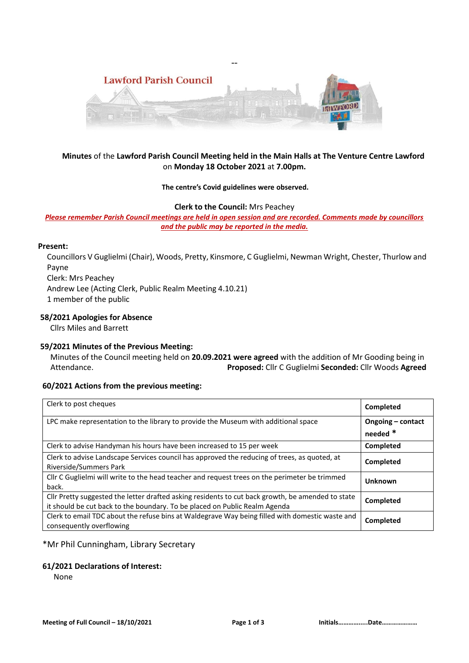

--

# **Minutes** of the **Lawford Parish Council Meeting held in the Main Halls at The Venture Centre Lawford**  on **Monday 18 October 2021** at **7.00pm.**

#### **The centre's Covid guidelines were observed.**

#### **Clerk to the Council:** Mrs Peachey

*Please remember Parish Council meetings are held in open session and are recorded. Comments made by councillors and the public may be reported in the media.* 

#### **Present:**

Councillors V Guglielmi (Chair), Woods, Pretty, Kinsmore, C Guglielmi, Newman Wright, Chester, Thurlow and Payne Clerk: Mrs Peachey Andrew Lee (Acting Clerk, Public Realm Meeting 4.10.21)

1 member of the public

### **58/2021 Apologies for Absence**

Cllrs Miles and Barrett

### **59/2021 Minutes of the Previous Meeting:**

 Minutes of the Council meeting held on **20.09.2021 were agreed** with the addition of Mr Gooding being in Attendance. **Proposed:** Cllr C Guglielmi **Seconded:** Cllr Woods **Agreed**

# **60/2021 Actions from the previous meeting:**

| Clerk to post cheques                                                                                                                                                           | Completed                     |
|---------------------------------------------------------------------------------------------------------------------------------------------------------------------------------|-------------------------------|
| LPC make representation to the library to provide the Museum with additional space                                                                                              | Ongoing – contact<br>needed * |
|                                                                                                                                                                                 |                               |
| Clerk to advise Handyman his hours have been increased to 15 per week                                                                                                           | Completed                     |
| Clerk to advise Landscape Services council has approved the reducing of trees, as quoted, at<br>Riverside/Summers Park                                                          | Completed                     |
| Cllr C Guglielmi will write to the head teacher and request trees on the perimeter be trimmed<br>back.                                                                          | <b>Unknown</b>                |
| Cllr Pretty suggested the letter drafted asking residents to cut back growth, be amended to state<br>it should be cut back to the boundary. To be placed on Public Realm Agenda | Completed                     |
| Clerk to email TDC about the refuse bins at Waldegrave Way being filled with domestic waste and<br>consequently overflowing                                                     | Completed                     |

### \*Mr Phil Cunningham, Library Secretary

### **61/2021 Declarations of Interest:**

None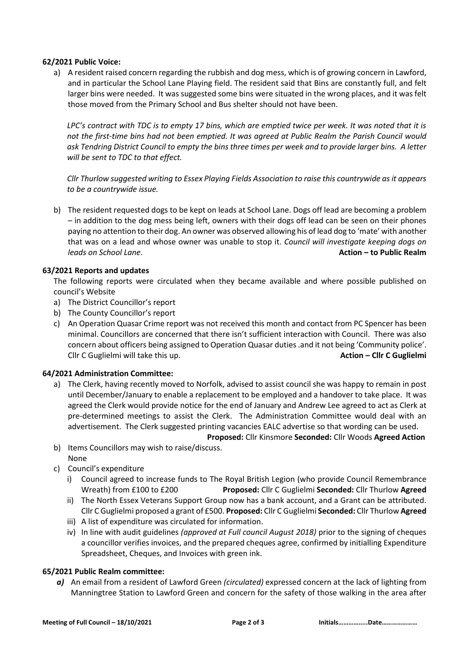### **62/2021 Public Voice:**

a) A resident raised concern regarding the rubbish and dog mess, which is of growing concern in Lawford, and in particular the School Lane Playing field. The resident said that Bins are constantly full, and felt larger bins were needed. It was suggested some bins were situated in the wrong places, and it was felt those moved from the Primary School and Bus shelter should not have been.

*LPC's contract with TDC is to empty 17 bins, which are emptied twice per week. It was noted that it is not the first-time bins had not been emptied. It was agreed at Public Realm the Parish Council would ask Tendring District Council to empty the bins three times per week and to provide larger bins. A letter will be sent to TDC to that effect.* 

*Cllr Thurlow suggested writing to Essex Playing Fields Association to raise this countrywide as it appears to be a countrywide issue.*

b) The resident requested dogs to be kept on leads at School Lane. Dogs off lead are becoming a problem – in addition to the dog mess being left, owners with their dogs off lead can be seen on their phones paying no attention to their dog. An owner was observed allowing his of lead dog to 'mate' with another that was on a lead and whose owner was unable to stop it. *Council will investigate keeping dogs on leads on School Lane*. **Action – to Public Realm**

### **63/2021 Reports and updates**

The following reports were circulated when they became available and where possible published on council's Website

- a) The District Councillor's report
- b) The County Councillor's report
- c) An Operation Quasar Crime report was not received this month and contact from PC Spencer has been minimal. Councillors are concerned that there isn't sufficient interaction with Council. There was also concern about officers being assigned to Operation Quasar duties.and it not being 'Community police'. Cllr C Guglielmi will take this up. **Action – Cllr C Guglielmi**

### **64/2021 Administration Committee:**

- a) The Clerk, having recently moved to Norfolk, advised to assist council she was happy to remain in post until December/January to enable a replacement to be employed and a handover to take place. It was agreed the Clerk would provide notice for the end of January and Andrew Lee agreed to act as Clerk at pre-determined meetings to assist the Clerk. The Administration Committee would deal with an advertisement. The Clerk suggested printing vacancies EALC advertise so that wording can be used. **Proposed:** Cllr Kinsmore **Seconded:** Cllr Woods **Agreed Action**
- b) Items Councillors may wish to raise/discuss. None
- c) Council's expenditure
	- i) Council agreed to increase funds to The Royal British Legion (who provide Council Remembrance Wreath) from £100 to £200 **Proposed:** Cllr C Guglielmi **Seconded:** Cllr Thurlow **Agreed**
	- ii) The North Essex Veterans Support Group now has a bank account, and a Grant can be attributed. Cllr C Guglielmi proposed a grant of £500. **Proposed:** Cllr C Guglielmi **Seconded:** Cllr Thurlow **Agreed**
	- iii) A list of expenditure was circulated for information.
	- iv) In line with audit guidelines *(approved at Full council August 2018)* prior to the signing of cheques a councillor verifies invoices, and the prepared cheques agree, confirmed by initialling Expenditure Spreadsheet, Cheques, and Invoices with green ink.

### **65/2021 Public Realm committee:**

*a)* An email from a resident of Lawford Green *(circulated)* expressed concern at the lack of lighting from Manningtree Station to Lawford Green and concern for the safety of those walking in the area after